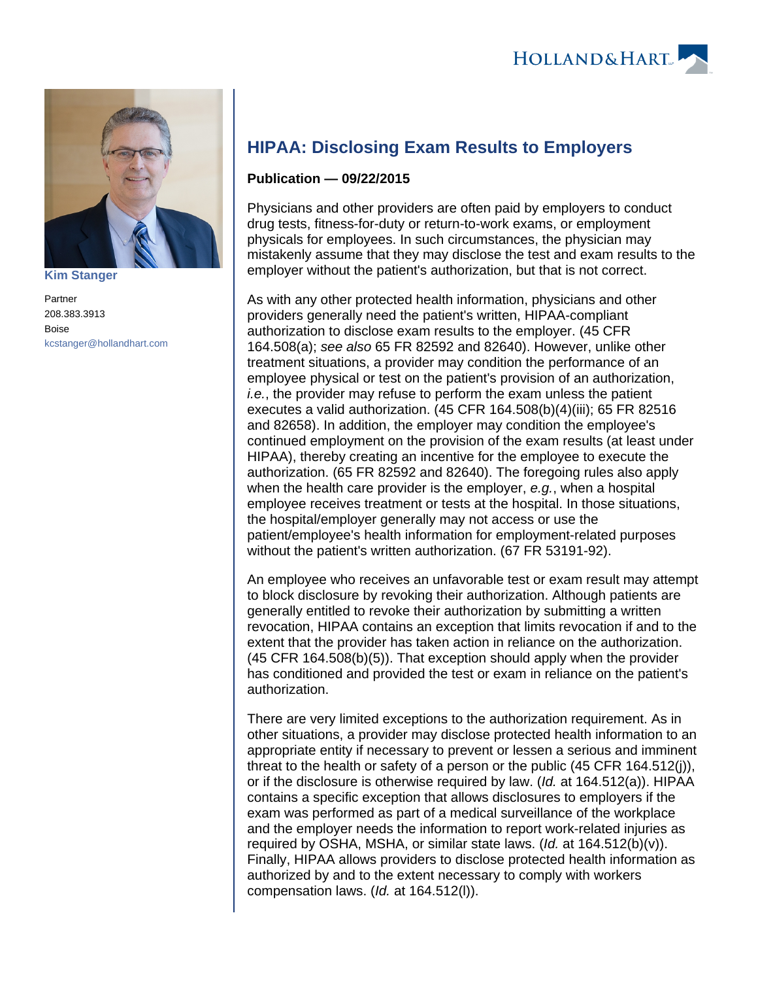

**[Kim Stanger](https://www.hollandhart.com/15954)**

Partner 208.383.3913 Boise [kcstanger@hollandhart.com](mailto:kcstanger@hollandhart.com)

## **HIPAA: Disclosing Exam Results to Employers**

## **Publication — 09/22/2015**

Physicians and other providers are often paid by employers to conduct drug tests, fitness-for-duty or return-to-work exams, or employment physicals for employees. In such circumstances, the physician may mistakenly assume that they may disclose the test and exam results to the employer without the patient's authorization, but that is not correct.

As with any other protected health information, physicians and other providers generally need the patient's written, HIPAA-compliant authorization to disclose exam results to the employer. (45 CFR 164.508(a); see also 65 FR 82592 and 82640). However, unlike other treatment situations, a provider may condition the performance of an employee physical or test on the patient's provision of an authorization, i.e., the provider may refuse to perform the exam unless the patient executes a valid authorization. (45 CFR 164.508(b)(4)(iii); 65 FR 82516 and 82658). In addition, the employer may condition the employee's continued employment on the provision of the exam results (at least under HIPAA), thereby creating an incentive for the employee to execute the authorization. (65 FR 82592 and 82640). The foregoing rules also apply when the health care provider is the employer, e.g., when a hospital employee receives treatment or tests at the hospital. In those situations, the hospital/employer generally may not access or use the patient/employee's health information for employment-related purposes without the patient's written authorization. (67 FR 53191-92).

An employee who receives an unfavorable test or exam result may attempt to block disclosure by revoking their authorization. Although patients are generally entitled to revoke their authorization by submitting a written revocation, HIPAA contains an exception that limits revocation if and to the extent that the provider has taken action in reliance on the authorization. (45 CFR 164.508(b)(5)). That exception should apply when the provider has conditioned and provided the test or exam in reliance on the patient's authorization.

There are very limited exceptions to the authorization requirement. As in other situations, a provider may disclose protected health information to an appropriate entity if necessary to prevent or lessen a serious and imminent threat to the health or safety of a person or the public (45 CFR 164.512(j)), or if the disclosure is otherwise required by law. (Id. at 164.512(a)). HIPAA contains a specific exception that allows disclosures to employers if the exam was performed as part of a medical surveillance of the workplace and the employer needs the information to report work-related injuries as required by OSHA, MSHA, or similar state laws. (Id. at 164.512(b)(v)). Finally, HIPAA allows providers to disclose protected health information as authorized by and to the extent necessary to comply with workers compensation laws. (Id. at 164.512(l)).